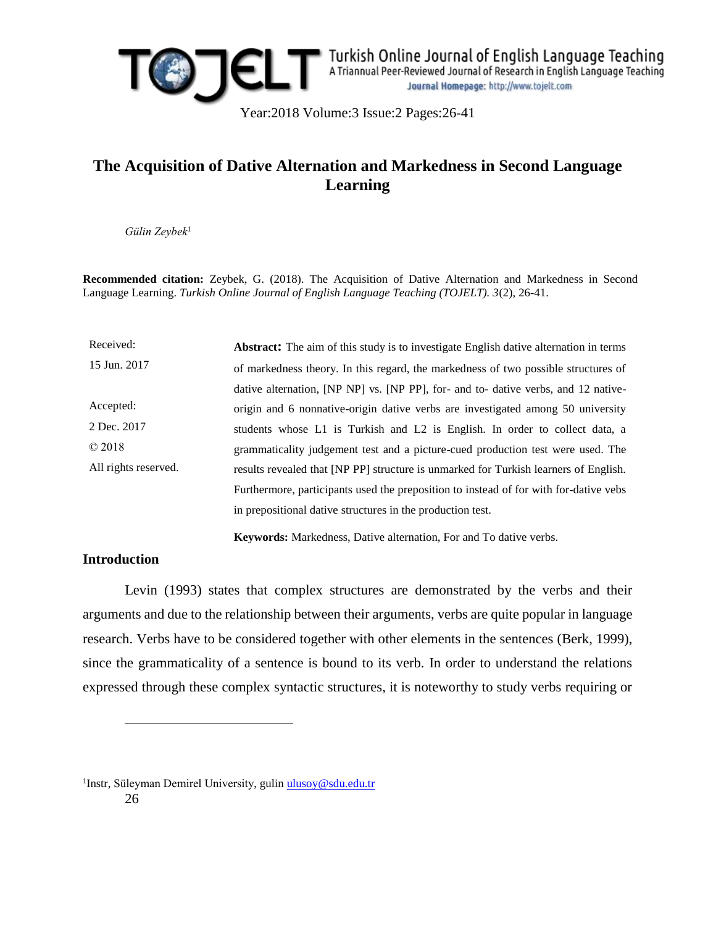

Year:2018 Volume:3 Issue:2 Pages:26-41

# **The Acquisition of Dative Alternation and Markedness in Second Language Learning**

*Gülin Zeybek<sup>1</sup>*

**Recommended citation:** Zeybek, G. (2018). The Acquisition of Dative Alternation and Markedness in Second Language Learning. *Turkish Online Journal of English Language Teaching (TOJELT). 3*(2), 26-41.

| Received:            | <b>Abstract:</b> The aim of this study is to investigate English dative alternation in terms |
|----------------------|----------------------------------------------------------------------------------------------|
| 15 Jun. 2017         | of markedness theory. In this regard, the markedness of two possible structures of           |
|                      | dative alternation, [NP NP] vs. [NP PP], for- and to- dative verbs, and 12 native-           |
| Accepted:            | origin and 6 nonnative-origin dative verbs are investigated among 50 university              |
| 2 Dec. 2017          | students whose L1 is Turkish and L2 is English. In order to collect data, a                  |
| $\odot$ 2018         | grammaticality judgement test and a picture-cued production test were used. The              |
| All rights reserved. | results revealed that [NP PP] structure is unmarked for Turkish learners of English.         |
|                      | Furthermore, participants used the preposition to instead of for with for-dative vebs        |
|                      | in prepositional dative structures in the production test.                                   |
|                      |                                                                                              |

**Keywords:** Markedness, Dative alternation, For and To dative verbs.

## **Introduction**

 $\overline{a}$ 

Levin (1993) states that complex structures are demonstrated by the verbs and their arguments and due to the relationship between their arguments, verbs are quite popular in language research. Verbs have to be considered together with other elements in the sentences (Berk, 1999), since the grammaticality of a sentence is bound to its verb. In order to understand the relations expressed through these complex syntactic structures, it is noteworthy to study verbs requiring or

26 <sup>1</sup>Instr, Süleyman Demirel University, gulin [ulusoy@sdu.edu.tr](mailto:ulusoy@sdu.edu.tr)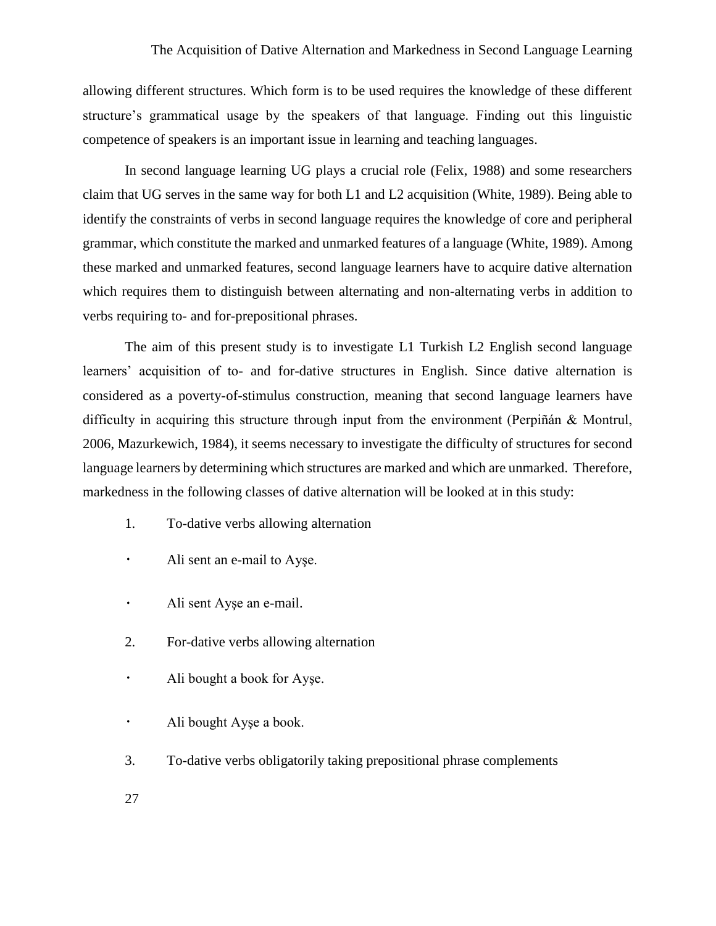allowing different structures. Which form is to be used requires the knowledge of these different structure's grammatical usage by the speakers of that language. Finding out this linguistic competence of speakers is an important issue in learning and teaching languages.

In second language learning UG plays a crucial role (Felix, 1988) and some researchers claim that UG serves in the same way for both L1 and L2 acquisition (White, 1989). Being able to identify the constraints of verbs in second language requires the knowledge of core and peripheral grammar, which constitute the marked and unmarked features of a language (White, 1989). Among these marked and unmarked features, second language learners have to acquire dative alternation which requires them to distinguish between alternating and non-alternating verbs in addition to verbs requiring to- and for-prepositional phrases.

The aim of this present study is to investigate L1 Turkish L2 English second language learners' acquisition of to- and for-dative structures in English. Since dative alternation is considered as a poverty-of-stimulus construction, meaning that second language learners have difficulty in acquiring this structure through input from the environment (Perpiñán & Montrul, 2006, Mazurkewich, 1984), it seems necessary to investigate the difficulty of structures for second language learners by determining which structures are marked and which are unmarked. Therefore, markedness in the following classes of dative alternation will be looked at in this study:

- 1. To-dative verbs allowing alternation
- Ali sent an e-mail to Ayşe.
- Ali sent Ayşe an e-mail.  $\bullet$
- 2. For-dative verbs allowing alternation
- $\bullet$ Ali bought a book for Ayşe.
- $\ddot{\phantom{0}}$ Ali bought Ayşe a book.
- 3. To-dative verbs obligatorily taking prepositional phrase complements
- 27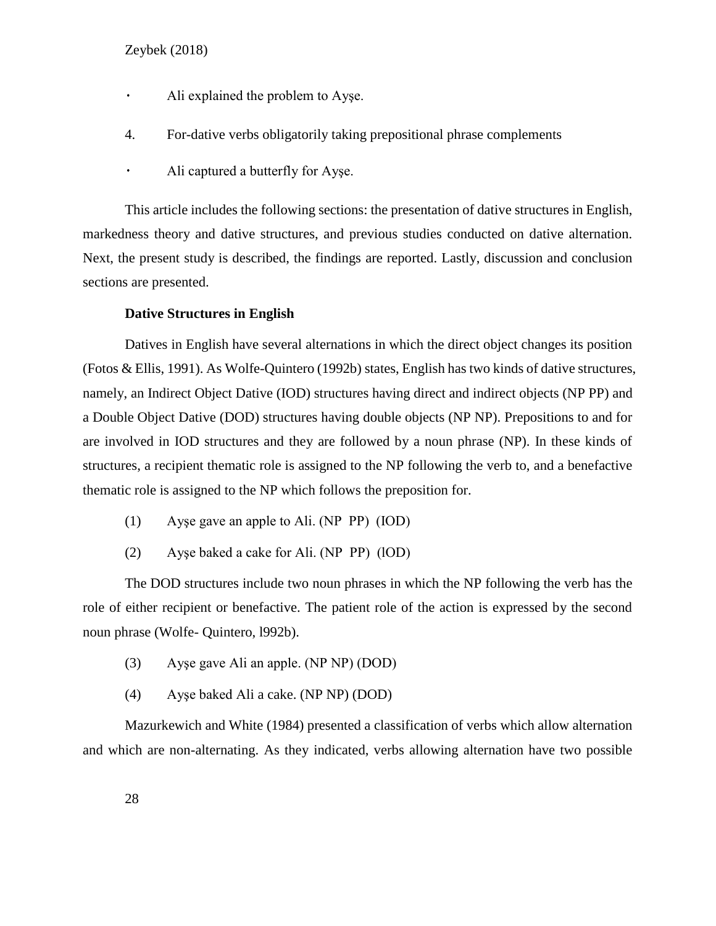- $\bullet$ Ali explained the problem to Ayşe.
- 4. For-dative verbs obligatorily taking prepositional phrase complements
- Ali captured a butterfly for Ayşe.  $\bullet$  .

This article includes the following sections: the presentation of dative structures in English, markedness theory and dative structures, and previous studies conducted on dative alternation. Next, the present study is described, the findings are reported. Lastly, discussion and conclusion sections are presented.

#### **Dative Structures in English**

Datives in English have several alternations in which the direct object changes its position (Fotos & Ellis, 1991). As Wolfe-Quintero (1992b) states, English has two kinds of dative structures, namely, an Indirect Object Dative (IOD) structures having direct and indirect objects (NP PP) and a Double Object Dative (DOD) structures having double objects (NP NP). Prepositions to and for are involved in IOD structures and they are followed by a noun phrase (NP). In these kinds of structures, a recipient thematic role is assigned to the NP following the verb to, and a benefactive thematic role is assigned to the NP which follows the preposition for.

- (1) Ayşe gave an apple to Ali. (NP PP) (IOD)
- (2) Ayşe baked a cake for Ali. (NP PP) (lOD)

The DOD structures include two noun phrases in which the NP following the verb has the role of either recipient or benefactive. The patient role of the action is expressed by the second noun phrase (Wolfe- Quintero, l992b).

- (3) Ayşe gave Ali an apple. (NP NP) (DOD)
- (4) Ayşe baked Ali a cake. (NP NP) (DOD)

Mazurkewich and White (1984) presented a classification of verbs which allow alternation and which are non-alternating. As they indicated, verbs allowing alternation have two possible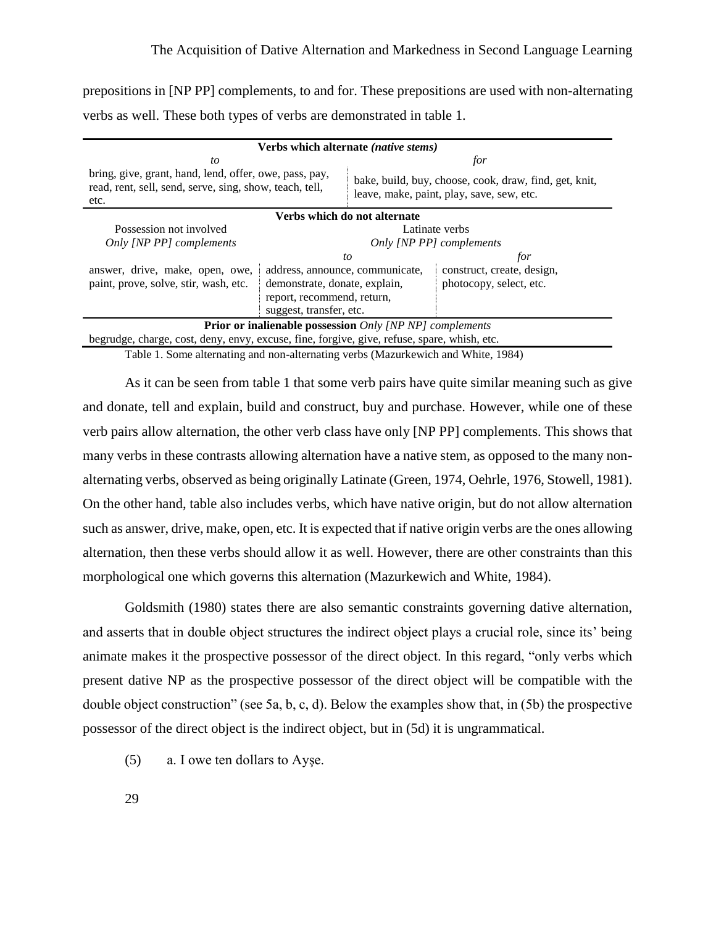prepositions in [NP PP] complements, to and for. These prepositions are used with non-alternating verbs as well. These both types of verbs are demonstrated in table 1.

| Verbs which alternate (native stems)                                                                                      |                               |                                                                                                     |                            |  |  |  |  |  |
|---------------------------------------------------------------------------------------------------------------------------|-------------------------------|-----------------------------------------------------------------------------------------------------|----------------------------|--|--|--|--|--|
| to                                                                                                                        |                               | for                                                                                                 |                            |  |  |  |  |  |
| bring, give, grant, hand, lend, offer, owe, pass, pay,<br>read, rent, sell, send, serve, sing, show, teach, tell,<br>etc. |                               | bake, build, buy, choose, cook, draw, find, get, knit,<br>leave, make, paint, play, save, sew, etc. |                            |  |  |  |  |  |
| Verbs which do not alternate                                                                                              |                               |                                                                                                     |                            |  |  |  |  |  |
| Possession not involved                                                                                                   |                               | Latinate verbs                                                                                      |                            |  |  |  |  |  |
| Only [NP PP] complements                                                                                                  |                               | Only [NP PP] complements                                                                            |                            |  |  |  |  |  |
|                                                                                                                           |                               | to                                                                                                  | for                        |  |  |  |  |  |
| answer, drive, make, open, owe,                                                                                           |                               | address, announce, communicate,                                                                     | construct, create, design, |  |  |  |  |  |
| paint, prove, solve, stir, wash, etc.                                                                                     | demonstrate, donate, explain, |                                                                                                     | photocopy, select, etc.    |  |  |  |  |  |
|                                                                                                                           | report, recommend, return,    |                                                                                                     |                            |  |  |  |  |  |
|                                                                                                                           | suggest, transfer, etc.       |                                                                                                     |                            |  |  |  |  |  |
| <b>Prior or inalienable possession</b> Only [NP NP] complements                                                           |                               |                                                                                                     |                            |  |  |  |  |  |
| begrudge, charge, cost, deny, envy, excuse, fine, forgive, give, refuse, spare, whish, etc.                               |                               |                                                                                                     |                            |  |  |  |  |  |

Table 1. Some alternating and non-alternating verbs (Mazurkewich and White, 1984)

As it can be seen from table 1 that some verb pairs have quite similar meaning such as give and donate, tell and explain, build and construct, buy and purchase. However, while one of these verb pairs allow alternation, the other verb class have only [NP PP] complements. This shows that many verbs in these contrasts allowing alternation have a native stem, as opposed to the many nonalternating verbs, observed as being originally Latinate (Green, 1974, Oehrle, 1976, Stowell, 1981). On the other hand, table also includes verbs, which have native origin, but do not allow alternation such as answer, drive, make, open, etc. It is expected that if native origin verbs are the ones allowing alternation, then these verbs should allow it as well. However, there are other constraints than this morphological one which governs this alternation (Mazurkewich and White, 1984).

Goldsmith (1980) states there are also semantic constraints governing dative alternation, and asserts that in double object structures the indirect object plays a crucial role, since its' being animate makes it the prospective possessor of the direct object. In this regard, "only verbs which present dative NP as the prospective possessor of the direct object will be compatible with the double object construction" (see 5a, b, c, d). Below the examples show that, in (5b) the prospective possessor of the direct object is the indirect object, but in (5d) it is ungrammatical.

(5) a. I owe ten dollars to Ayşe.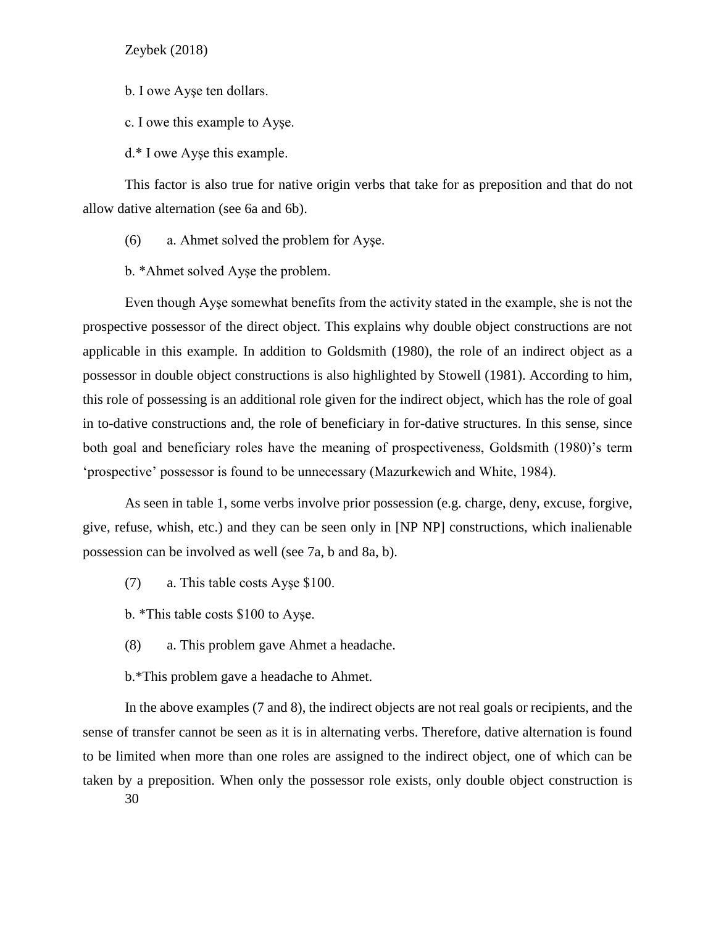b. I owe Ayşe ten dollars.

c. I owe this example to Ayşe.

d.\* I owe Ayşe this example.

This factor is also true for native origin verbs that take for as preposition and that do not allow dative alternation (see 6a and 6b).

(6) a. Ahmet solved the problem for Ayşe.

b. \*Ahmet solved Ayşe the problem.

Even though Ayşe somewhat benefits from the activity stated in the example, she is not the prospective possessor of the direct object. This explains why double object constructions are not applicable in this example. In addition to Goldsmith (1980), the role of an indirect object as a possessor in double object constructions is also highlighted by Stowell (1981). According to him, this role of possessing is an additional role given for the indirect object, which has the role of goal in to-dative constructions and, the role of beneficiary in for-dative structures. In this sense, since both goal and beneficiary roles have the meaning of prospectiveness, Goldsmith (1980)'s term 'prospective' possessor is found to be unnecessary (Mazurkewich and White, 1984).

As seen in table 1, some verbs involve prior possession (e.g. charge, deny, excuse, forgive, give, refuse, whish, etc.) and they can be seen only in [NP NP] constructions, which inalienable possession can be involved as well (see 7a, b and 8a, b).

(7) a. This table costs Ayşe \$100.

b. \*This table costs \$100 to Ayşe.

(8) a. This problem gave Ahmet a headache.

b.\*This problem gave a headache to Ahmet.

In the above examples (7 and 8), the indirect objects are not real goals or recipients, and the sense of transfer cannot be seen as it is in alternating verbs. Therefore, dative alternation is found to be limited when more than one roles are assigned to the indirect object, one of which can be taken by a preposition. When only the possessor role exists, only double object construction is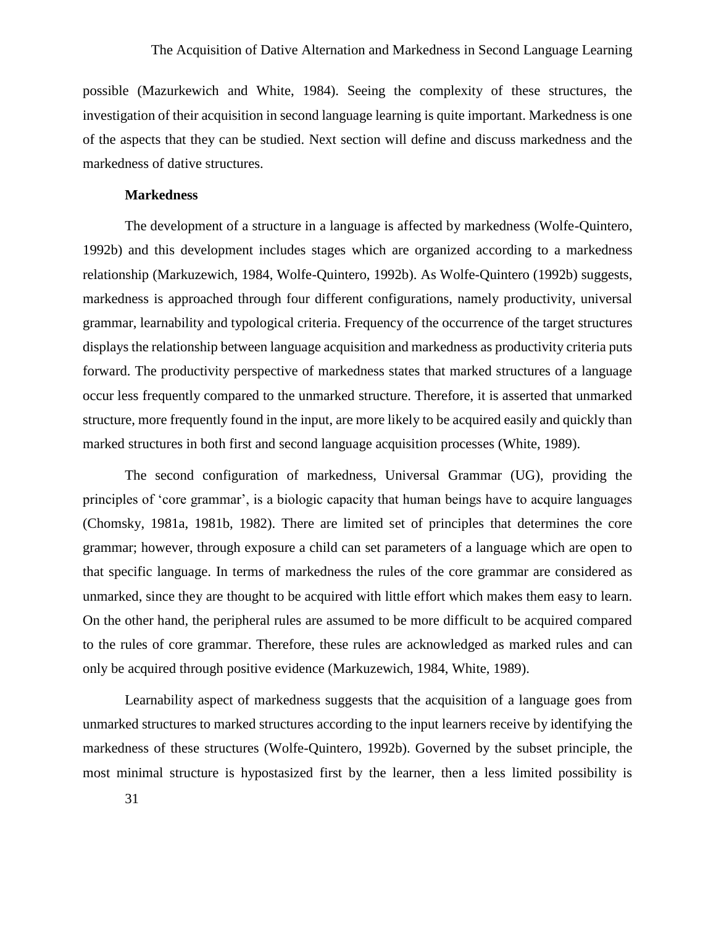possible (Mazurkewich and White, 1984). Seeing the complexity of these structures, the investigation of their acquisition in second language learning is quite important. Markedness is one of the aspects that they can be studied. Next section will define and discuss markedness and the markedness of dative structures.

## **Markedness**

The development of a structure in a language is affected by markedness (Wolfe-Quintero, 1992b) and this development includes stages which are organized according to a markedness relationship (Markuzewich, 1984, Wolfe-Quintero, 1992b). As Wolfe-Quintero (1992b) suggests, markedness is approached through four different configurations, namely productivity, universal grammar, learnability and typological criteria. Frequency of the occurrence of the target structures displays the relationship between language acquisition and markedness as productivity criteria puts forward. The productivity perspective of markedness states that marked structures of a language occur less frequently compared to the unmarked structure. Therefore, it is asserted that unmarked structure, more frequently found in the input, are more likely to be acquired easily and quickly than marked structures in both first and second language acquisition processes (White, 1989).

The second configuration of markedness, Universal Grammar (UG), providing the principles of 'core grammar', is a biologic capacity that human beings have to acquire languages (Chomsky, 1981a, 1981b, 1982). There are limited set of principles that determines the core grammar; however, through exposure a child can set parameters of a language which are open to that specific language. In terms of markedness the rules of the core grammar are considered as unmarked, since they are thought to be acquired with little effort which makes them easy to learn. On the other hand, the peripheral rules are assumed to be more difficult to be acquired compared to the rules of core grammar. Therefore, these rules are acknowledged as marked rules and can only be acquired through positive evidence (Markuzewich, 1984, White, 1989).

Learnability aspect of markedness suggests that the acquisition of a language goes from unmarked structures to marked structures according to the input learners receive by identifying the markedness of these structures (Wolfe-Quintero, 1992b). Governed by the subset principle, the most minimal structure is hypostasized first by the learner, then a less limited possibility is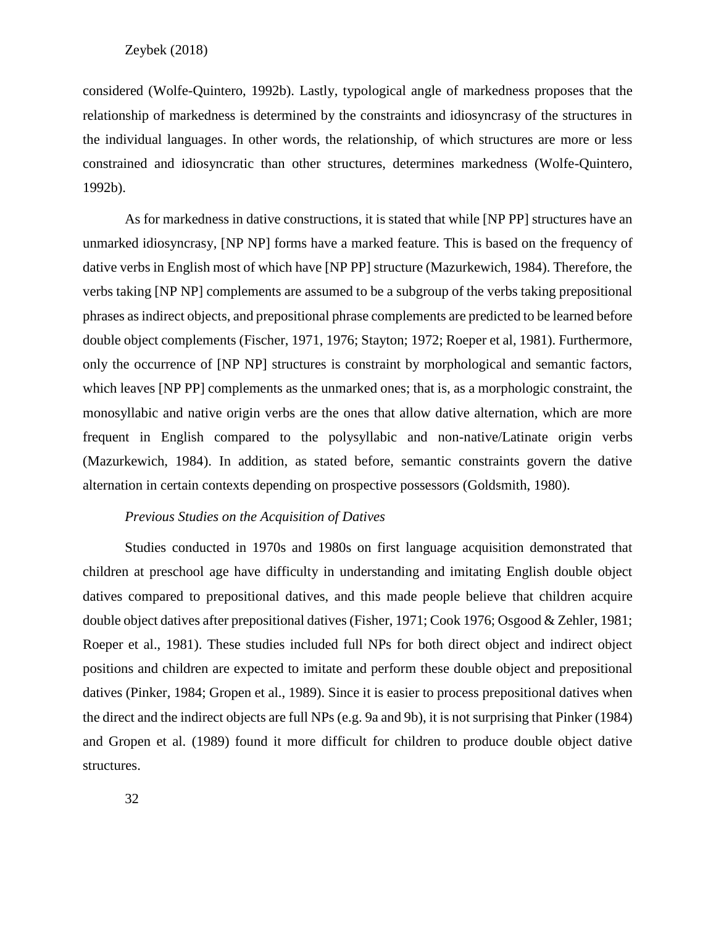considered (Wolfe-Quintero, 1992b). Lastly, typological angle of markedness proposes that the relationship of markedness is determined by the constraints and idiosyncrasy of the structures in the individual languages. In other words, the relationship, of which structures are more or less constrained and idiosyncratic than other structures, determines markedness (Wolfe-Quintero, 1992b).

As for markedness in dative constructions, it is stated that while [NP PP] structures have an unmarked idiosyncrasy, [NP NP] forms have a marked feature. This is based on the frequency of dative verbs in English most of which have [NP PP] structure (Mazurkewich, 1984). Therefore, the verbs taking [NP NP] complements are assumed to be a subgroup of the verbs taking prepositional phrases as indirect objects, and prepositional phrase complements are predicted to be learned before double object complements (Fischer, 1971, 1976; Stayton; 1972; Roeper et al, 1981). Furthermore, only the occurrence of [NP NP] structures is constraint by morphological and semantic factors, which leaves [NP PP] complements as the unmarked ones; that is, as a morphologic constraint, the monosyllabic and native origin verbs are the ones that allow dative alternation, which are more frequent in English compared to the polysyllabic and non-native/Latinate origin verbs (Mazurkewich, 1984). In addition, as stated before, semantic constraints govern the dative alternation in certain contexts depending on prospective possessors (Goldsmith, 1980).

## *Previous Studies on the Acquisition of Datives*

Studies conducted in 1970s and 1980s on first language acquisition demonstrated that children at preschool age have difficulty in understanding and imitating English double object datives compared to prepositional datives, and this made people believe that children acquire double object datives after prepositional datives (Fisher, 1971; Cook 1976; Osgood & Zehler, 1981; Roeper et al., 1981). These studies included full NPs for both direct object and indirect object positions and children are expected to imitate and perform these double object and prepositional datives (Pinker, 1984; Gropen et al., 1989). Since it is easier to process prepositional datives when the direct and the indirect objects are full NPs (e.g. 9a and 9b), it is not surprising that Pinker (1984) and Gropen et al. (1989) found it more difficult for children to produce double object dative structures.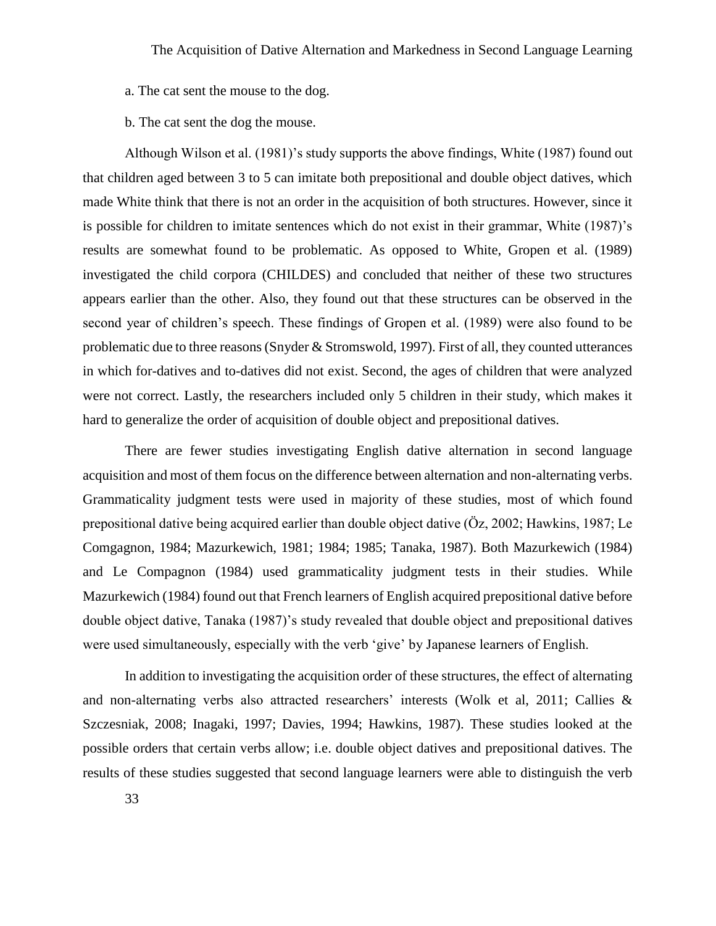a. The cat sent the mouse to the dog.

b. The cat sent the dog the mouse.

Although Wilson et al. (1981)'s study supports the above findings, White (1987) found out that children aged between 3 to 5 can imitate both prepositional and double object datives, which made White think that there is not an order in the acquisition of both structures. However, since it is possible for children to imitate sentences which do not exist in their grammar, White (1987)'s results are somewhat found to be problematic. As opposed to White, Gropen et al. (1989) investigated the child corpora (CHILDES) and concluded that neither of these two structures appears earlier than the other. Also, they found out that these structures can be observed in the second year of children's speech. These findings of Gropen et al. (1989) were also found to be problematic due to three reasons (Snyder & Stromswold, 1997). First of all, they counted utterances in which for-datives and to-datives did not exist. Second, the ages of children that were analyzed were not correct. Lastly, the researchers included only 5 children in their study, which makes it hard to generalize the order of acquisition of double object and prepositional datives.

There are fewer studies investigating English dative alternation in second language acquisition and most of them focus on the difference between alternation and non-alternating verbs. Grammaticality judgment tests were used in majority of these studies, most of which found prepositional dative being acquired earlier than double object dative (Öz, 2002; Hawkins, 1987; Le Comgagnon, 1984; Mazurkewich, 1981; 1984; 1985; Tanaka, 1987). Both Mazurkewich (1984) and Le Compagnon (1984) used grammaticality judgment tests in their studies. While Mazurkewich (1984) found out that French learners of English acquired prepositional dative before double object dative, Tanaka (1987)'s study revealed that double object and prepositional datives were used simultaneously, especially with the verb 'give' by Japanese learners of English.

In addition to investigating the acquisition order of these structures, the effect of alternating and non-alternating verbs also attracted researchers' interests (Wolk et al, 2011; Callies & Szczesniak, 2008; Inagaki, 1997; Davies, 1994; Hawkins, 1987). These studies looked at the possible orders that certain verbs allow; i.e. double object datives and prepositional datives. The results of these studies suggested that second language learners were able to distinguish the verb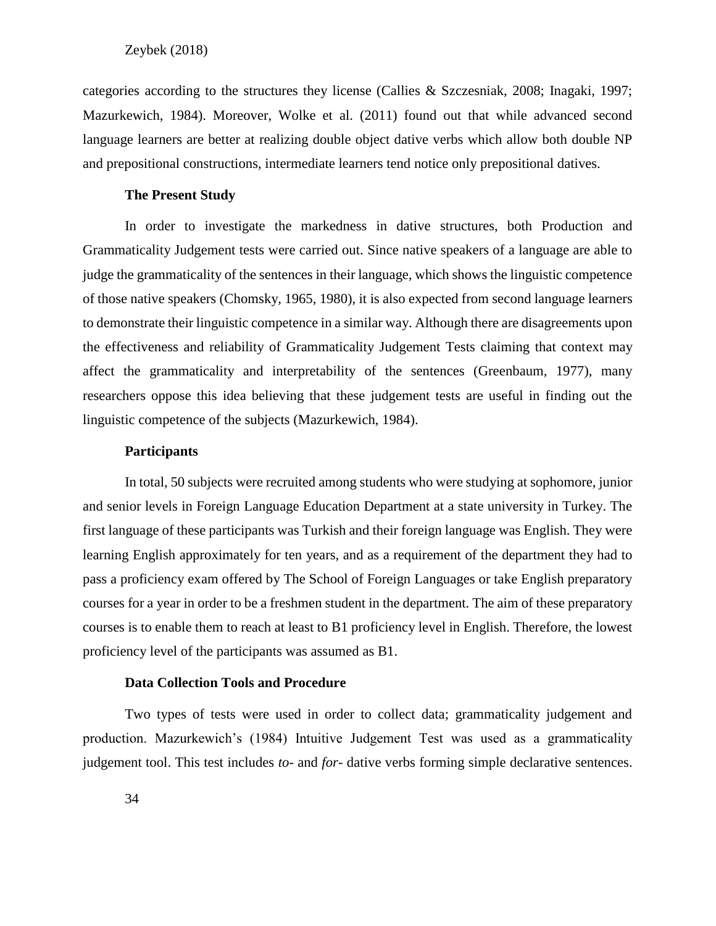categories according to the structures they license (Callies & Szczesniak, 2008; Inagaki, 1997; Mazurkewich, 1984). Moreover, Wolke et al. (2011) found out that while advanced second language learners are better at realizing double object dative verbs which allow both double NP and prepositional constructions, intermediate learners tend notice only prepositional datives.

#### **The Present Study**

In order to investigate the markedness in dative structures, both Production and Grammaticality Judgement tests were carried out. Since native speakers of a language are able to judge the grammaticality of the sentences in their language, which shows the linguistic competence of those native speakers (Chomsky, 1965, 1980), it is also expected from second language learners to demonstrate their linguistic competence in a similar way. Although there are disagreements upon the effectiveness and reliability of Grammaticality Judgement Tests claiming that context may affect the grammaticality and interpretability of the sentences (Greenbaum, 1977), many researchers oppose this idea believing that these judgement tests are useful in finding out the linguistic competence of the subjects (Mazurkewich, 1984).

#### **Participants**

In total, 50 subjects were recruited among students who were studying at sophomore, junior and senior levels in Foreign Language Education Department at a state university in Turkey. The first language of these participants was Turkish and their foreign language was English. They were learning English approximately for ten years, and as a requirement of the department they had to pass a proficiency exam offered by The School of Foreign Languages or take English preparatory courses for a year in order to be a freshmen student in the department. The aim of these preparatory courses is to enable them to reach at least to B1 proficiency level in English. Therefore, the lowest proficiency level of the participants was assumed as B1.

#### **Data Collection Tools and Procedure**

Two types of tests were used in order to collect data; grammaticality judgement and production. Mazurkewich's (1984) Intuitive Judgement Test was used as a grammaticality judgement tool. This test includes *to-* and *for-* dative verbs forming simple declarative sentences.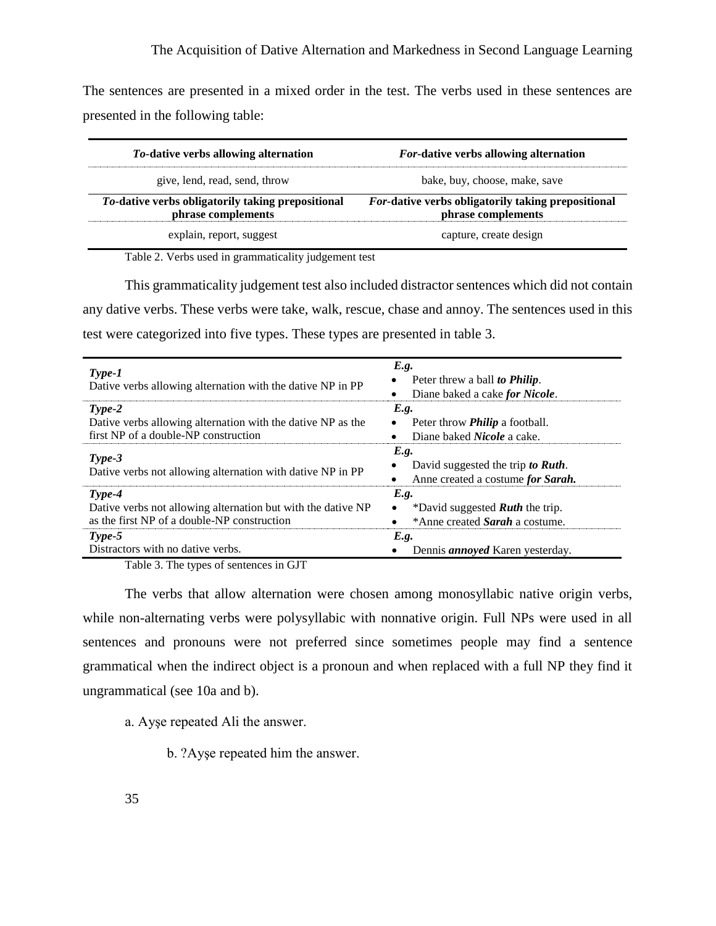The sentences are presented in a mixed order in the test. The verbs used in these sentences are presented in the following table:

| <i>To</i> -dative verbs allowing alternation                            | <i>For-dative verbs allowing alternation</i>                             |  |  |  |  |
|-------------------------------------------------------------------------|--------------------------------------------------------------------------|--|--|--|--|
| give, lend, read, send, throw                                           | bake, buy, choose, make, save                                            |  |  |  |  |
| To-dative verbs obligatorily taking prepositional<br>phrase complements | For-dative verbs obligatorily taking prepositional<br>phrase complements |  |  |  |  |
| explain, report, suggest                                                | capture, create design                                                   |  |  |  |  |

Table 2. Verbs used in grammaticality judgement test

This grammaticality judgement test also included distractor sentences which did not contain any dative verbs. These verbs were take, walk, rescue, chase and annoy. The sentences used in this test were categorized into five types. These types are presented in table 3.

| $Type-1$<br>Dative verbs allowing alternation with the dative NP in PP                                                  | E.g.<br>Peter threw a ball to <b>Philip</b> .<br>Diane baked a cake for Nicole.                      |
|-------------------------------------------------------------------------------------------------------------------------|------------------------------------------------------------------------------------------------------|
| $Type-2$<br>Dative verbs allowing alternation with the dative NP as the<br>first NP of a double-NP construction         | E.g.<br>Peter throw <i>Philip</i> a football.<br>$\bullet$<br>Diane baked <i>Nicole</i> a cake.      |
| $Type-3$<br>Dative verbs not allowing alternation with dative NP in PP                                                  | E.g.<br>David suggested the trip to Ruth.<br>Anne created a costume for Sarah.                       |
| $Type-4$<br>Dative verbs not allowing alternation but with the dative NP<br>as the first NP of a double-NP construction | E.g.<br>*David suggested <b>Ruth</b> the trip.<br>$\bullet$<br>*Anne created <b>Sarah</b> a costume. |
| $Type-5$<br>Distractors with no dative verbs.<br>$T = 11.2 T$                                                           | E.g.<br>Dennis <i>annoyed</i> Karen yesterday.                                                       |

Table 3. The types of sentences in GJT

The verbs that allow alternation were chosen among monosyllabic native origin verbs, while non-alternating verbs were polysyllabic with nonnative origin. Full NPs were used in all sentences and pronouns were not preferred since sometimes people may find a sentence grammatical when the indirect object is a pronoun and when replaced with a full NP they find it ungrammatical (see 10a and b).

a. Ayşe repeated Ali the answer.

b. ?Ayşe repeated him the answer.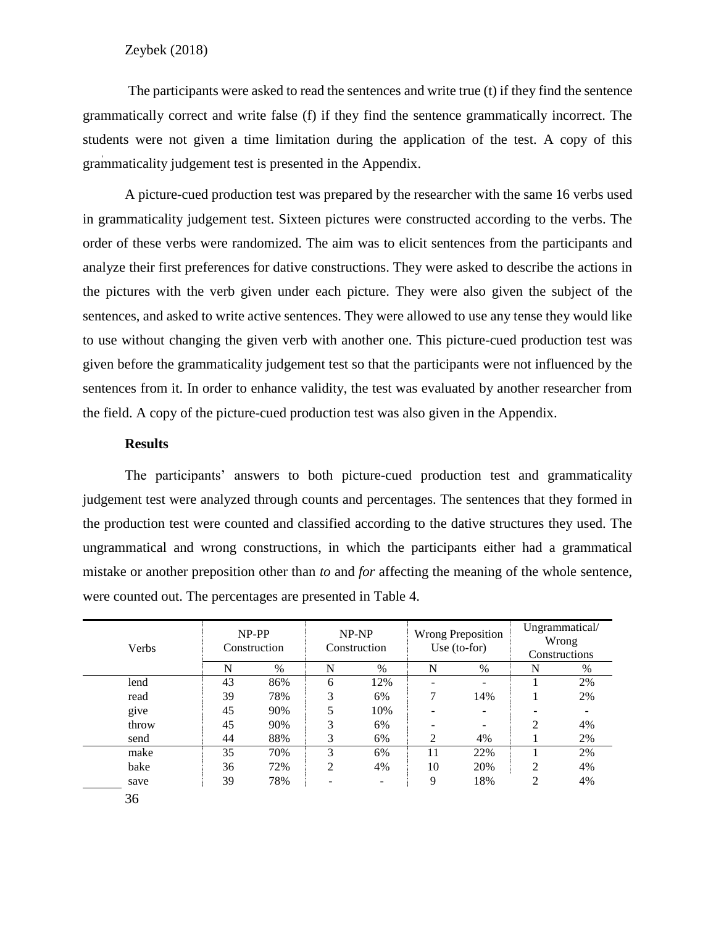The participants were asked to read the sentences and write true (t) if they find the sentence grammatically correct and write false (f) if they find the sentence grammatically incorrect. The students were not given a time limitation during the application of the test. A copy of this grammaticality judgement test is presented in the Appendix.

A picture-cued production test was prepared by the researcher with the same 16 verbs used in grammaticality judgement test. Sixteen pictures were constructed according to the verbs. The order of these verbs were randomized. The aim was to elicit sentences from the participants and analyze their first preferences for dative constructions. They were asked to describe the actions in the pictures with the verb given under each picture. They were also given the subject of the sentences, and asked to write active sentences. They were allowed to use any tense they would like to use without changing the given verb with another one. This picture-cued production test was given before the grammaticality judgement test so that the participants were not influenced by the sentences from it. In order to enhance validity, the test was evaluated by another researcher from the field. A copy of the picture-cued production test was also given in the Appendix.

#### **Results**

The participants' answers to both picture-cued production test and grammaticality judgement test were analyzed through counts and percentages. The sentences that they formed in the production test were counted and classified according to the dative structures they used. The ungrammatical and wrong constructions, in which the participants either had a grammatical mistake or another preposition other than *to* and *for* affecting the meaning of the whole sentence, were counted out. The percentages are presented in Table 4.

| Verbs | NP-PP<br>Construction |               | NP-NP<br>Construction |      | <b>Wrong Preposition</b><br>Use $(to-for)$ |      | Ungrammatical/<br>Wrong<br>Constructions |      |
|-------|-----------------------|---------------|-----------------------|------|--------------------------------------------|------|------------------------------------------|------|
|       | N                     | $\frac{0}{0}$ | N                     | $\%$ | N                                          | $\%$ | N                                        | $\%$ |
| lend  | 43                    | 86%           | 6                     | 12%  | $\overline{\phantom{0}}$                   |      |                                          | 2%   |
| read  | 39                    | 78%           | 3                     | 6%   | ℸ                                          | 14%  |                                          | 2%   |
| give  | 45                    | 90%           | 5                     | 10%  | $\overline{\phantom{0}}$                   |      |                                          |      |
| throw | 45                    | 90%           | 3                     | 6%   | $\overline{\phantom{0}}$                   |      | $\overline{2}$                           | 4%   |
| send  | 44                    | 88%           | 3                     | 6%   | 2                                          | 4%   |                                          | 2%   |
| make  | 35                    | 70%           | 3                     | 6%   | 11                                         | 22%  |                                          | 2%   |
| bake  | 36                    | 72%           | 2                     | 4%   | 10                                         | 20%  | $\overline{2}$                           | 4%   |
| save  | 39                    | 78%           | ۰                     | -    | 9                                          | 18%  | 2                                        | 4%   |
| 36    |                       |               |                       |      |                                            |      |                                          |      |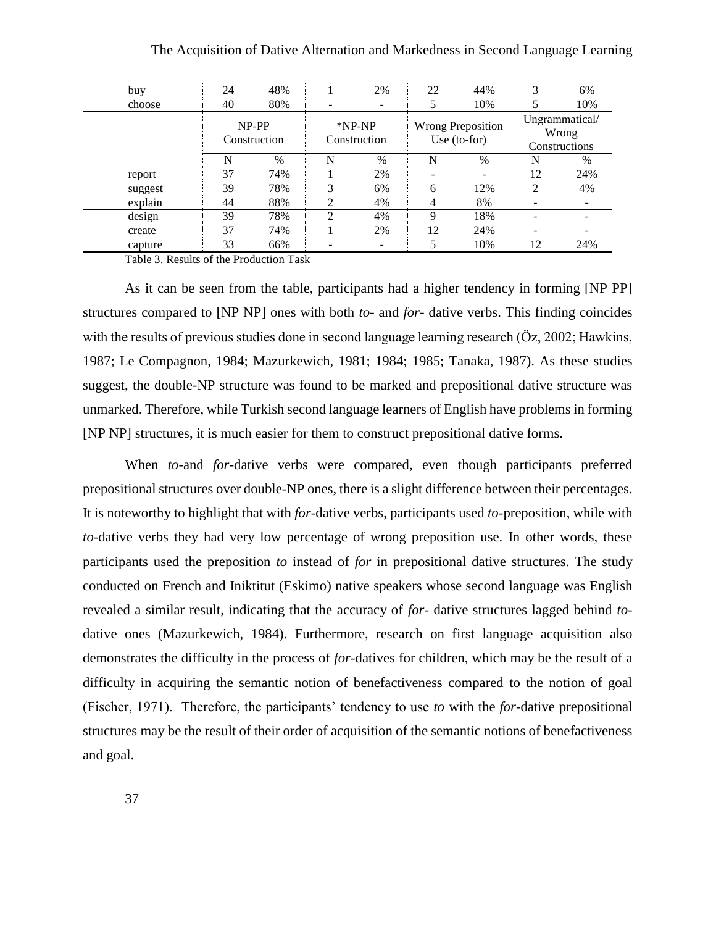| buy     | 24                    | 48%  |                          | 2%   | 22                                         | 44% | 3                                        | 6%   |
|---------|-----------------------|------|--------------------------|------|--------------------------------------------|-----|------------------------------------------|------|
| choose  | 40                    | 80%  |                          |      |                                            | 10% |                                          | 10%  |
|         | NP-PP<br>Construction |      | $*NP-NP$<br>Construction |      | <b>Wrong Preposition</b><br>Use $(to-for)$ |     | Ungrammatical/<br>Wrong<br>Constructions |      |
|         | N                     | $\%$ | N                        | $\%$ | N                                          | %   | N                                        | $\%$ |
| report  | 37                    | 74%  |                          | 2%   |                                            | ۰   | 12                                       | 24%  |
| suggest | 39                    | 78%  | 3                        | 6%   | 6                                          | 12% | 2                                        | 4%   |
| explain | 44                    | 88%  | ↑                        | 4%   | 4                                          | 8%  |                                          |      |
| design  | 39                    | 78%  | $\mathfrak{D}$           | 4%   | Q                                          | 18% |                                          |      |
| create  | 37                    | 74%  |                          | 2%   | 12                                         | 24% |                                          |      |
| capture | 33                    | 66%  |                          |      |                                            | 10% | 12                                       | 24%  |

Table 3. Results of the Production Task

As it can be seen from the table, participants had a higher tendency in forming [NP PP] structures compared to [NP NP] ones with both *to-* and *for-* dative verbs. This finding coincides with the results of previous studies done in second language learning research (Öz, 2002; Hawkins, 1987; Le Compagnon, 1984; Mazurkewich, 1981; 1984; 1985; Tanaka, 1987). As these studies suggest, the double-NP structure was found to be marked and prepositional dative structure was unmarked. Therefore, while Turkish second language learners of English have problems in forming [NP NP] structures, it is much easier for them to construct prepositional dative forms.

When *to-*and *for-*dative verbs were compared, even though participants preferred prepositional structures over double-NP ones, there is a slight difference between their percentages. It is noteworthy to highlight that with *for-*dative verbs, participants used *to-*preposition, while with *to-*dative verbs they had very low percentage of wrong preposition use. In other words, these participants used the preposition *to* instead of *for* in prepositional dative structures. The study conducted on French and Iniktitut (Eskimo) native speakers whose second language was English revealed a similar result, indicating that the accuracy of *for-* dative structures lagged behind *to*dative ones (Mazurkewich, 1984). Furthermore, research on first language acquisition also demonstrates the difficulty in the process of *for-*datives for children, which may be the result of a difficulty in acquiring the semantic notion of benefactiveness compared to the notion of goal (Fischer, 1971). Therefore, the participants' tendency to use *to* with the *for-*dative prepositional structures may be the result of their order of acquisition of the semantic notions of benefactiveness and goal.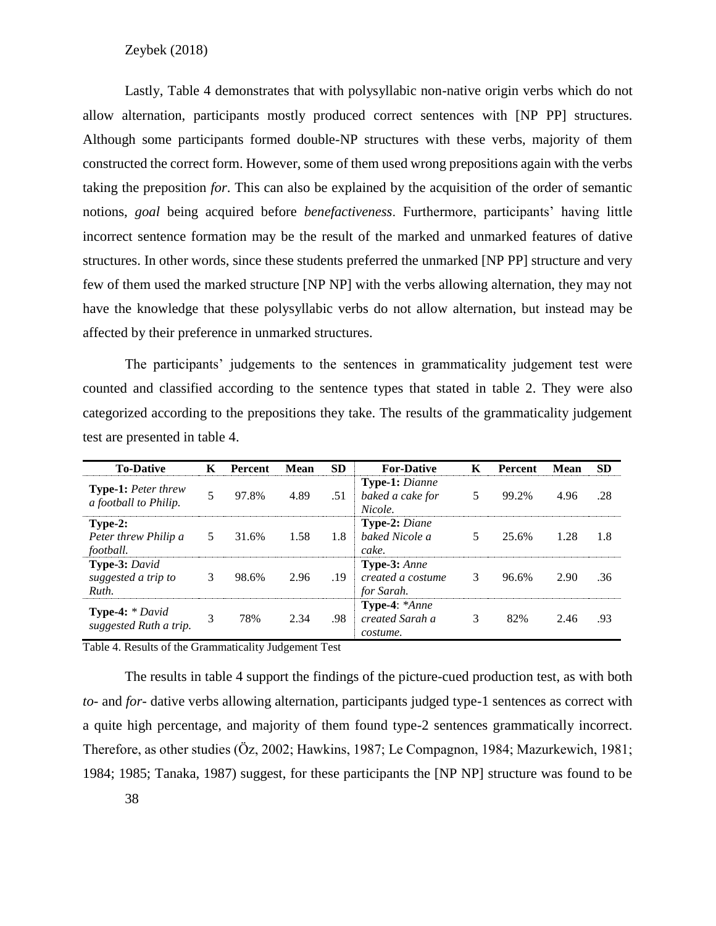Lastly, Table 4 demonstrates that with polysyllabic non-native origin verbs which do not allow alternation, participants mostly produced correct sentences with [NP PP] structures. Although some participants formed double-NP structures with these verbs, majority of them constructed the correct form. However, some of them used wrong prepositions again with the verbs taking the preposition *for*. This can also be explained by the acquisition of the order of semantic notions, *goal* being acquired before *benefactiveness*. Furthermore, participants' having little incorrect sentence formation may be the result of the marked and unmarked features of dative structures. In other words, since these students preferred the unmarked [NP PP] structure and very few of them used the marked structure [NP NP] with the verbs allowing alternation, they may not have the knowledge that these polysyllabic verbs do not allow alternation, but instead may be affected by their preference in unmarked structures.

The participants' judgements to the sentences in grammaticality judgement test were counted and classified according to the sentence types that stated in table 2. They were also categorized according to the prepositions they take. The results of the grammaticality judgement test are presented in table 4.

| <b>To-Dative</b>                                          | K | <b>Percent</b> | <b>Mean</b> | <b>SD</b> | <b>For-Dative</b>                                    | К | <b>Percent</b> | Mean | <b>SD</b> |
|-----------------------------------------------------------|---|----------------|-------------|-----------|------------------------------------------------------|---|----------------|------|-----------|
| <b>Type-1:</b> Peter threw<br>a football to Philip.       |   | 97.8%          | 4.89        | .51       | <b>Type-1:</b> Dianne<br>baked a cake for<br>Nicole. | 5 | 99.2%          | 4.96 | .28       |
| $Type-2:$<br>Peter threw Philip a<br>football.            | 5 | 31.6%          | 1.58        | 1.8       | <b>Type-2: Diane</b><br>baked Nicole a<br>cake.      | 5 | 25.6%          | 1.28 | 1.8       |
| Type-3: David<br>suggested a trip to<br>Ruth.             | 3 | 98.6%          | 2.96        | .19       | Type-3: Anne<br>created a costume<br>for Sarah.      | 3 | 96.6%          | 2.90 | .36       |
| <b>Type-4:</b> $*$ <i>David</i><br>suggested Ruth a trip. | 3 | 78%            | 2.34        | .98       | Type-4: *Anne<br>created Sarah a<br>costume.         | 3 | 82%            | 2.46 | .93       |

Table 4. Results of the Grammaticality Judgement Test

The results in table 4 support the findings of the picture-cued production test, as with both *to-* and *for-* dative verbs allowing alternation, participants judged type-1 sentences as correct with a quite high percentage, and majority of them found type-2 sentences grammatically incorrect. Therefore, as other studies (Öz, 2002; Hawkins, 1987; Le Compagnon, 1984; Mazurkewich, 1981; 1984; 1985; Tanaka, 1987) suggest, for these participants the [NP NP] structure was found to be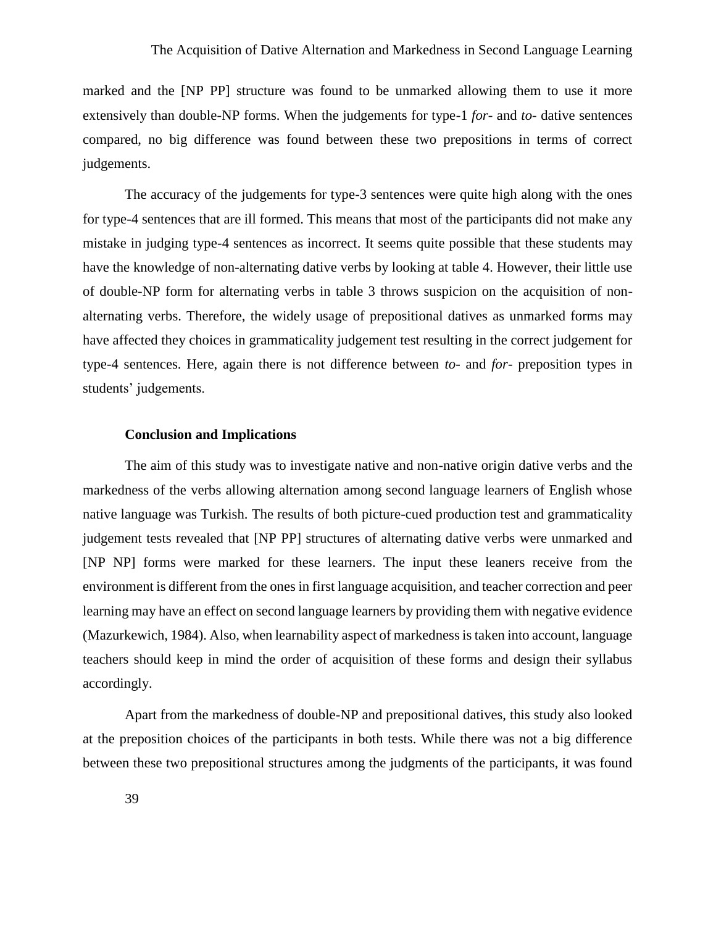marked and the [NP PP] structure was found to be unmarked allowing them to use it more extensively than double-NP forms. When the judgements for type-1 *for-* and *to-* dative sentences compared, no big difference was found between these two prepositions in terms of correct judgements.

The accuracy of the judgements for type-3 sentences were quite high along with the ones for type-4 sentences that are ill formed. This means that most of the participants did not make any mistake in judging type-4 sentences as incorrect. It seems quite possible that these students may have the knowledge of non-alternating dative verbs by looking at table 4. However, their little use of double-NP form for alternating verbs in table 3 throws suspicion on the acquisition of nonalternating verbs. Therefore, the widely usage of prepositional datives as unmarked forms may have affected they choices in grammaticality judgement test resulting in the correct judgement for type-4 sentences. Here, again there is not difference between *to-* and *for-* preposition types in students' judgements.

#### **Conclusion and Implications**

The aim of this study was to investigate native and non-native origin dative verbs and the markedness of the verbs allowing alternation among second language learners of English whose native language was Turkish. The results of both picture-cued production test and grammaticality judgement tests revealed that [NP PP] structures of alternating dative verbs were unmarked and [NP NP] forms were marked for these learners. The input these leaners receive from the environment is different from the ones in first language acquisition, and teacher correction and peer learning may have an effect on second language learners by providing them with negative evidence (Mazurkewich, 1984). Also, when learnability aspect of markedness is taken into account, language teachers should keep in mind the order of acquisition of these forms and design their syllabus accordingly.

Apart from the markedness of double-NP and prepositional datives, this study also looked at the preposition choices of the participants in both tests. While there was not a big difference between these two prepositional structures among the judgments of the participants, it was found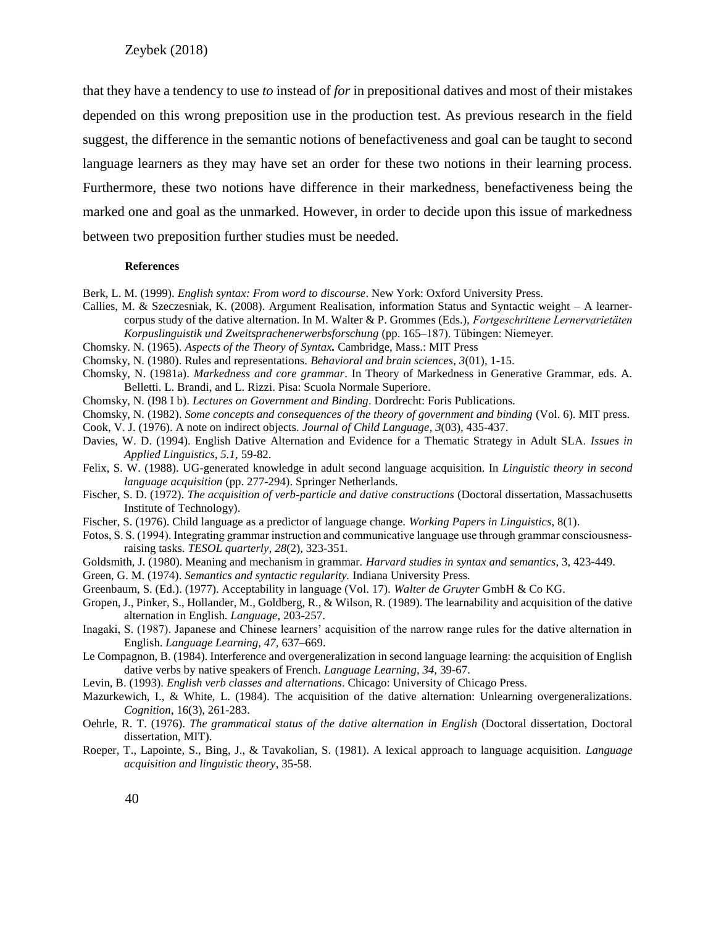that they have a tendency to use *to* instead of *for* in prepositional datives and most of their mistakes depended on this wrong preposition use in the production test. As previous research in the field suggest, the difference in the semantic notions of benefactiveness and goal can be taught to second language learners as they may have set an order for these two notions in their learning process. Furthermore, these two notions have difference in their markedness, benefactiveness being the marked one and goal as the unmarked. However, in order to decide upon this issue of markedness between two preposition further studies must be needed.

#### **References**

- Berk, L. M. (1999). *English syntax: From word to discourse*. New York: Oxford University Press.
- Callies, M. & Szeczesniak, K. (2008). Argument Realisation, information Status and Syntactic weight A learnercorpus study of the dative alternation. In M. Walter & P. Grommes (Eds.), *Fortgeschrittene Lernervarietäten Korpuslinguistik und Zweitsprachenerwerbsforschung* (pp. 165–187). Tübingen: Niemeyer.
- Chomsky. N. (1965). *Aspects of the Theory of Syntax.* Cambridge, Mass.: MIT Press
- Chomsky, N. (1980). Rules and representations. *Behavioral and brain sciences*, *3*(01), 1-15.
- Chomsky, N. (1981a). *Markedness and core grammar*. In Theory of Markedness in Generative Grammar, eds. A. Belletti. L. Brandi, and L. Rizzi. Pisa: Scuola Normale Superiore.
- Chomsky, N. (I98 I b). *Lectures on Government and Binding*. Dordrecht: Foris Publications.
- Chomsky, N. (1982). *Some concepts and consequences of the theory of government and binding* (Vol. 6). MIT press.
- Cook, V. J. (1976). A note on indirect objects. *Journal of Child Language*, *3*(03), 435-437.
- Davies, W. D. (1994). English Dative Alternation and Evidence for a Thematic Strategy in Adult SLA. *Issues in Applied Linguistics, 5.1,* 59-82.
- Felix, S. W. (1988). UG-generated knowledge in adult second language acquisition. In *Linguistic theory in second language acquisition* (pp. 277-294). Springer Netherlands.
- Fischer, S. D. (1972). *The acquisition of verb-particle and dative constructions* (Doctoral dissertation, Massachusetts Institute of Technology).
- Fischer, S. (1976). Child language as a predictor of language change. *Working Papers in Linguistics*, 8(1).
- Fotos, S. S. (1994). Integrating grammar instruction and communicative language use through grammar consciousnessraising tasks. *TESOL quarterly*, *28*(2), 323-351.
- Goldsmith, J. (1980). Meaning and mechanism in grammar. *Harvard studies in syntax and semantics*, 3, 423-449.
- Green, G. M. (1974). *Semantics and syntactic regularity.* Indiana University Press.
- Greenbaum, S. (Ed.). (1977). Acceptability in language (Vol. 17). *Walter de Gruyter* GmbH & Co KG.
- Gropen, J., Pinker, S., Hollander, M., Goldberg, R., & Wilson, R. (1989). The learnability and acquisition of the dative alternation in English. *Language*, 203-257.
- Inagaki, S. (1987). Japanese and Chinese learners' acquisition of the narrow range rules for the dative alternation in English. *Language Learning, 47,* 637–669.
- Le Compagnon, B. (1984). Interference and overgeneralization in second language learning: the acquisition of English dative verbs by native speakers of French*. Language Learning, 34,* 39-67.
- Levin, B. (1993). *English verb classes and alternations*. Chicago: University of Chicago Press.
- Mazurkewich, I., & White, L. (1984). The acquisition of the dative alternation: Unlearning overgeneralizations. *Cognition*, 16(3), 261-283.
- Oehrle, R. T. (1976). *The grammatical status of the dative alternation in English* (Doctoral dissertation, Doctoral dissertation, MIT).
- Roeper, T., Lapointe, S., Bing, J., & Tavakolian, S. (1981). A lexical approach to language acquisition. *Language acquisition and linguistic theory*, 35-58.